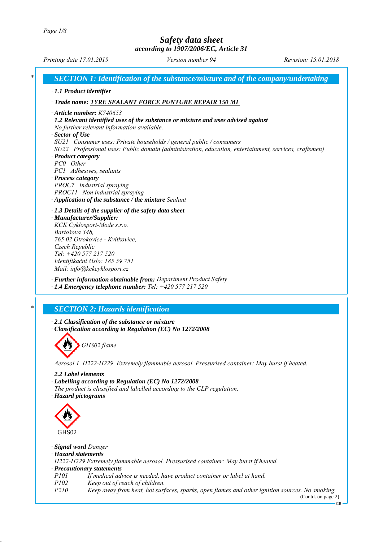

GHS<sub>02</sub>

*· Signal word Danger*

*· Hazard statements*

*H222-H229 Extremely flammable aerosol. Pressurised container: May burst if heated. · Precautionary statements*

- *P101 If medical advice is needed, have product container or label at hand.*
- *P102 Keep out of reach of children.*

*P210 Keep away from heat, hot surfaces, sparks, open flames and other ignition sources. No smoking.*

(Contd. on page 2) GB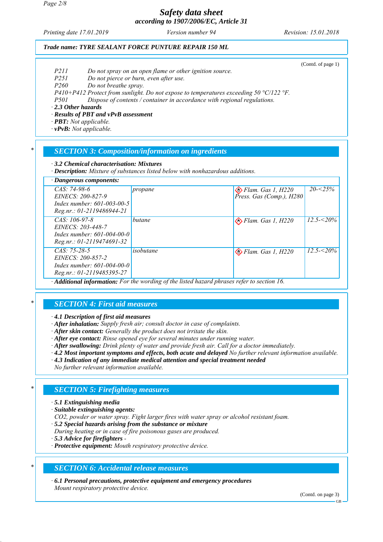*Page 2/8*

# *Safety data sheet according to 1907/2006/EC, Article 31*

*Printing date 17.01.2019 Revision: 15.01.2018 Version number 94*

(Contd. of page 1)

## *Trade name: TYRE SEALANT FORCE PUNTURE REPAIR 150 ML*

- *P211 Do not spray on an open flame or other ignition source.*
- *P251 Do not pierce or burn, even after use.*
- *P260 Do not breathe spray.*

*P410+P412 Protect from sunlight. Do not expose to temperatures exceeding 50 °C/122 °F.*

*P501 Dispose of contents / container in accordance with regional regulations.*

*· 2.3 Other hazards*

*· Results of PBT and vPvB assessment*

*· PBT: Not applicable.*

*· vPvB: Not applicable.*

## *\* SECTION 3: Composition/information on ingredients*

*· 3.2 Chemical characterisation: Mixtures*

*· Description: Mixture of substances listed below with nonhazardous additions.*

| $\cdot$ Dangerous components:                                                                            |                                                                                              |                                                              |                 |
|----------------------------------------------------------------------------------------------------------|----------------------------------------------------------------------------------------------|--------------------------------------------------------------|-----------------|
| $CAS: 74-98-6$<br>EINECS: 200-827-9<br>Index number: $601 - 003 - 00 - 5$<br>$Reg.nr.: 01-2119486944-21$ | propane                                                                                      | $\bigotimes$ Flam. Gas 1, H220<br>Press. Gas (Comp.), $H280$ | $20 - 25\%$     |
| $CAS: 106-97-8$<br>EINECS: 203-448-7<br>Index number: $601 - 004 - 00 - 0$<br>Reg.nr.: 01-2119474691-32  | butane                                                                                       | $\leftrightarrow$ Flam. Gas 1, H220                          | $12.5 - 5.20\%$ |
| $CAS: 75-28-5$<br><i>EINECS: 200-857-2</i><br>Index number: $601-004-00-0$<br>Reg.nr.: 01-2119485395-27  | isobutane<br>$\mathbf{1}$ .<br>$\cdot$ 1<br>$c_{1}$ $1$ $1$ $1$<br>$\mathbf{1}$ $\mathbf{1}$ | $\bigotimes$ Flam. Gas 1, H220                               | $12.5 - 5.20\%$ |

*· Additional information: For the wording of the listed hazard phrases refer to section 16.*

## *\* SECTION 4: First aid measures*

*· 4.1 Description of first aid measures*

*· After inhalation: Supply fresh air; consult doctor in case of complaints.*

- *· After skin contact: Generally the product does not irritate the skin.*
- *· After eye contact: Rinse opened eye for several minutes under running water.*
- *· After swallowing: Drink plenty of water and provide fresh air. Call for a doctor immediately.*
- *· 4.2 Most important symptoms and effects, both acute and delayed No further relevant information available.*
- *· 4.3 Indication of any immediate medical attention and special treatment needed*

*No further relevant information available.*

# *\* SECTION 5: Firefighting measures*

#### *· 5.1 Extinguishing media*

*· Suitable extinguishing agents:*

*CO2, powder or water spray. Fight larger fires with water spray or alcohol resistant foam.*

- *· 5.2 Special hazards arising from the substance or mixture*
- *During heating or in case of fire poisonous gases are produced.*
- *· 5.3 Advice for firefighters*
- *· Protective equipment: Mouth respiratory protective device.*

## *\* SECTION 6: Accidental release measures*

*· 6.1 Personal precautions, protective equipment and emergency procedures Mount respiratory protective device.*

(Contd. on page 3)

GB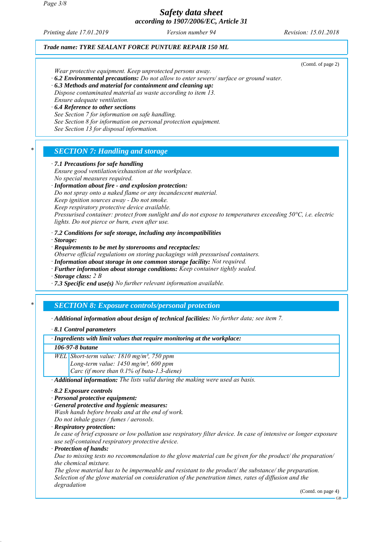*Printing date 17.01.2019 Revision: 15.01.2018 Version number 94*

## *Trade name: TYRE SEALANT FORCE PUNTURE REPAIR 150 ML*

(Contd. of page 2)

*Wear protective equipment. Keep unprotected persons away.*

*· 6.2 Environmental precautions: Do not allow to enter sewers/ surface or ground water.*

*· 6.3 Methods and material for containment and cleaning up: Dispose contaminated material as waste according to item 13.*

*Ensure adequate ventilation.*

*· 6.4 Reference to other sections See Section 7 for information on safe handling.*

*See Section 8 for information on personal protection equipment.*

*See Section 13 for disposal information.*

## *\* SECTION 7: Handling and storage*

#### *· 7.1 Precautions for safe handling*

*Ensure good ventilation/exhaustion at the workplace. No special measures required.*

*· Information about fire - and explosion protection:*

*Do not spray onto a naked flame or any incandescent material.*

*Keep ignition sources away - Do not smoke.*

*Keep respiratory protective device available.*

*Pressurised container: protect from sunlight and do not expose to temperatures exceeding 50°C, i.e. electric lights. Do not pierce or burn, even after use.*

*· 7.2 Conditions for safe storage, including any incompatibilities*

*· Storage:*

*· Requirements to be met by storerooms and receptacles:*

*Observe official regulations on storing packagings with pressurised containers.*

*· Information about storage in one common storage facility: Not required.*

*· Further information about storage conditions: Keep container tightly sealed.*

*· Storage class: 2 B*

*· 7.3 Specific end use(s) No further relevant information available.*

# *\* SECTION 8: Exposure controls/personal protection*

*· Additional information about design of technical facilities: No further data; see item 7.*

#### *· 8.1 Control parameters*

### *· Ingredients with limit values that require monitoring at the workplace:*

#### *106-97-8 butane*

*WEL Short-term value: 1810 mg/m³, 750 ppm*

*Long-term value: 1450 mg/m³, 600 ppm Carc (if more than 0.1% of buta-1.3-diene)*

*· Additional information: The lists valid during the making were used as basis.*

- *· 8.2 Exposure controls*
- *· Personal protective equipment:*
- *· General protective and hygienic measures:*

*Wash hands before breaks and at the end of work. Do not inhale gases / fumes / aerosols.*

*· Respiratory protection:*

*In case of brief exposure or low pollution use respiratory filter device. In case of intensive or longer exposure use self-contained respiratory protective device.*

*· Protection of hands:*

*Due to missing tests no recommendation to the glove material can be given for the product/ the preparation/ the chemical mixture.*

*The glove material has to be impermeable and resistant to the product/ the substance/ the preparation. Selection of the glove material on consideration of the penetration times, rates of diffusion and the degradation*

(Contd. on page 4)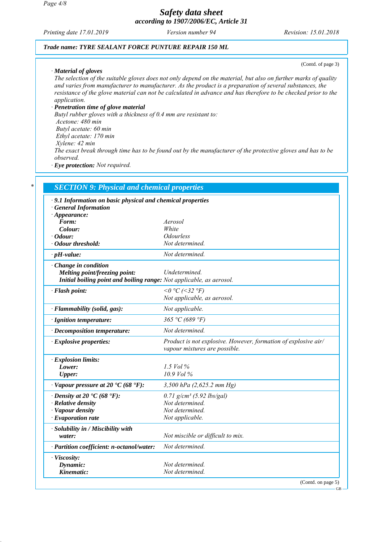*Printing date 17.01.2019 Revision: 15.01.2018 Version number 94*

### *Trade name: TYRE SEALANT FORCE PUNTURE REPAIR 150 ML*

(Contd. of page 3)

#### *· Material of gloves*

*The selection of the suitable gloves does not only depend on the material, but also on further marks of quality and varies from manufacturer to manufacturer. As the product is a preparation of several substances, the resistance of the glove material can not be calculated in advance and has therefore to be checked prior to the application.*

#### *· Penetration time of glove material*

*Butyl rubber gloves with a thickness of 0.4 mm are resistant to: Acetone: 480 min Butyl acetate: 60 min Ethyl acetate: 170 min Xylene: 42 min The exact break through time has to be found out by the manufacturer of the protective gloves and has to be observed. · Eye protection: Not required.*

| · 9.1 Information on basic physical and chemical properties          |                                                                                                 |
|----------------------------------------------------------------------|-------------------------------------------------------------------------------------------------|
| <b>General Information</b>                                           |                                                                                                 |
| $\cdot$ Appearance:                                                  |                                                                                                 |
| Form:                                                                | Aerosol                                                                                         |
| Colour:<br>· Odour:                                                  | White<br><b>Odourless</b>                                                                       |
| · Odour threshold:                                                   | Not determined.                                                                                 |
| $\cdot$ pH-value:                                                    | Not determined.                                                                                 |
| $\cdot$ Change in condition                                          |                                                                                                 |
| Melting point/freezing point:                                        | Undetermined.                                                                                   |
| Initial boiling point and boiling range: Not applicable, as aerosol. |                                                                                                 |
| · Flash point:                                                       | $0^{\circ}$ C (<32 $^{\circ}$ F)                                                                |
|                                                                      | Not applicable, as aerosol.                                                                     |
| · Flammability (solid, gas):                                         | Not applicable.                                                                                 |
| · Ignition temperature:                                              | 365 °C (689 °F)                                                                                 |
| · Decomposition temperature:                                         | Not determined.                                                                                 |
| $\cdot$ Explosive properties:                                        | Product is not explosive. However, formation of explosive air/<br>vapour mixtures are possible. |
| · Explosion limits:                                                  |                                                                                                 |
| Lower:                                                               | 1.5 $Vol\%$                                                                                     |
| <b>Upper:</b>                                                        | 10.9 Vol %                                                                                      |
| $\cdot$ Vapour pressure at 20 $\cdot$ C (68 $\cdot$ F):              | 3,500 hPa $(2,625.2 \text{ mm Hg})$                                                             |
| $\cdot$ Density at 20 $\cdot$ C (68 $\cdot$ F):                      | $0.71$ g/cm <sup>3</sup> (5.92 lbs/gal)                                                         |
| · Relative density                                                   | Not determined.                                                                                 |
| · Vapour density                                                     | Not determined.                                                                                 |
| $\cdot$ Evaporation rate                                             | Not applicable.                                                                                 |
| · Solubility in / Miscibility with                                   |                                                                                                 |
| water:                                                               | Not miscible or difficult to mix.                                                               |
| · Partition coefficient: n-octanol/water:                            | Not determined.                                                                                 |

(Contd. on page 5)

GB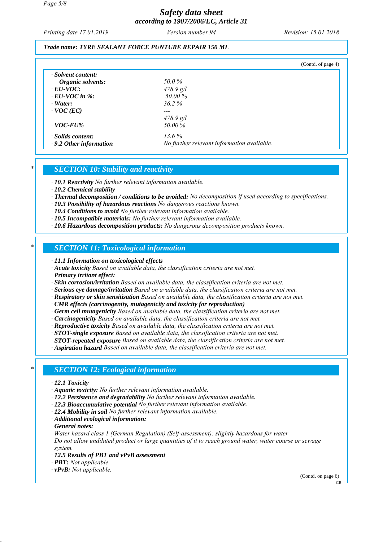*Printing date 17.01.2019 Revision: 15.01.2018 Version number 94*

### *Trade name: TYRE SEALANT FORCE PUNTURE REPAIR 150 ML*

|                               |                                            | (Contd. of page 4) |
|-------------------------------|--------------------------------------------|--------------------|
| $\cdot$ Solvent content:      |                                            |                    |
| Organic solvents:             | 50.0%                                      |                    |
| $\cdot$ EU-VOC:               | $478.9$ g/l                                |                    |
| $\cdot$ EU-VOC in %:          | 50.00 %                                    |                    |
| $\cdot$ Water:                | $36.2\%$                                   |                    |
| $\cdot$ VOC (EC)              |                                            |                    |
|                               | $478.9$ g/l                                |                    |
| $\cdot$ VOC-EU%               | 50.00 %                                    |                    |
| $\cdot$ Solids content:       | $13.6\%$                                   |                    |
| $\cdot$ 9.2 Other information | No further relevant information available. |                    |

### *\* SECTION 10: Stability and reactivity*

*· 10.1 Reactivity No further relevant information available.*

- *· 10.2 Chemical stability*
- *· Thermal decomposition / conditions to be avoided: No decomposition if used according to specifications.*
- *· 10.3 Possibility of hazardous reactions No dangerous reactions known.*
- *· 10.4 Conditions to avoid No further relevant information available.*
- *· 10.5 Incompatible materials: No further relevant information available.*
- *· 10.6 Hazardous decomposition products: No dangerous decomposition products known.*

## *\* SECTION 11: Toxicological information*

- *· 11.1 Information on toxicological effects*
- *· Acute toxicity Based on available data, the classification criteria are not met.*
- *· Primary irritant effect:*
- *· Skin corrosion/irritation Based on available data, the classification criteria are not met.*
- *· Serious eye damage/irritation Based on available data, the classification criteria are not met.*
- *· Respiratory or skin sensitisation Based on available data, the classification criteria are not met.*
- *· CMR effects (carcinogenity, mutagenicity and toxicity for reproduction)*
- *· Germ cell mutagenicity Based on available data, the classification criteria are not met.*
- *· Carcinogenicity Based on available data, the classification criteria are not met.*
- *· Reproductive toxicity Based on available data, the classification criteria are not met.*
- *· STOT-single exposure Based on available data, the classification criteria are not met.*
- *· STOT-repeated exposure Based on available data, the classification criteria are not met.*
- *· Aspiration hazard Based on available data, the classification criteria are not met.*

## *\* SECTION 12: Ecological information*

- *· 12.1 Toxicity*
- *· Aquatic toxicity: No further relevant information available.*
- *· 12.2 Persistence and degradability No further relevant information available.*
- *· 12.3 Bioaccumulative potential No further relevant information available.*
- *· 12.4 Mobility in soil No further relevant information available.*
- *· Additional ecological information:*
- *· General notes:*

*Water hazard class 1 (German Regulation) (Self-assessment): slightly hazardous for water Do not allow undiluted product or large quantities of it to reach ground water, water course or sewage system.*

- *· 12.5 Results of PBT and vPvB assessment*
- *· PBT: Not applicable.*
- *· vPvB: Not applicable.*

(Contd. on page 6) GB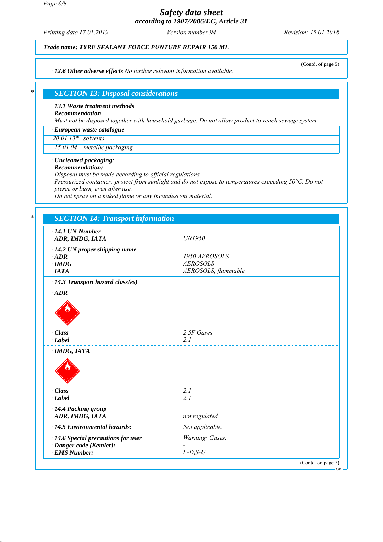*Page 6/8*

# *Safety data sheet according to 1907/2006/EC, Article 31*

*Printing date 17.01.2019 Revision: 15.01.2018 Version number 94*

(Contd. of page 5)

*Trade name: TYRE SEALANT FORCE PUNTURE REPAIR 150 ML*

*· 12.6 Other adverse effects No further relevant information available.*

## *\* SECTION 13: Disposal considerations*

### *· 13.1 Waste treatment methods*

*· Recommendation*

*Must not be disposed together with household garbage. Do not allow product to reach sewage system.*

| · European waste catalogue |  |
|----------------------------|--|
| $\sqrt{200113*}$ solvents  |  |

*15 01 04 metallic packaging*

*· Uncleaned packaging:*

*· Recommendation:*

*Disposal must be made according to official regulations.*

*Pressurized container: protect from sunlight and do not expose to temperatures exceeding 50°C. Do not pierce or burn, even after use.*

*Do not spray on a naked flame or any incandescent material.*

| $\cdot$ 14.1 UN-Number<br>ADR, IMDG, IATA           | UN1950              |
|-----------------------------------------------------|---------------------|
|                                                     |                     |
| $\cdot$ 14.2 UN proper shipping name<br>$\cdot$ ADR | 1950 AEROSOLS       |
| $\cdot$ IMDG                                        | <b>AEROSOLS</b>     |
| $\cdot$ IATA                                        | AEROSOLS, flammable |
|                                                     |                     |
| $\cdot$ 14.3 Transport hazard class(es)             |                     |
| $\cdot$ ADR                                         |                     |
|                                                     |                     |
|                                                     |                     |
| · Class                                             | 2 5F Gases.         |
| $\cdot$ Label                                       | 2.1                 |
|                                                     |                     |
| $\cdot$ IMDG, IATA                                  |                     |
|                                                     |                     |
|                                                     |                     |
|                                                     |                     |
| · Class                                             | 2.1                 |
| $\cdot$ Label                                       | 2.1                 |
|                                                     |                     |
| · 14.4 Packing group                                |                     |
| ADR, IMDG, IATA                                     | not regulated       |
| · 14.5 Environmental hazards:                       | Not applicable.     |
| · 14.6 Special precautions for user                 | Warning: Gases.     |
| · Danger code (Kemler):                             |                     |
| · EMS Number:                                       | $F-D, S-U$          |

GB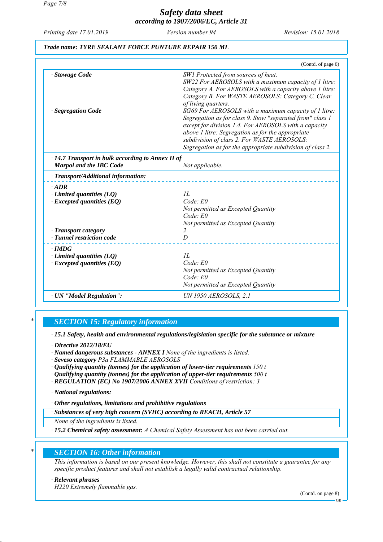*Page 7/8*

# *Safety data sheet according to 1907/2006/EC, Article 31*

*Printing date 17.01.2019 Revision: 15.01.2018 Version number 94*

# *Trade name: TYRE SEALANT FORCE PUNTURE REPAIR 150 ML*

|                                                                                           | (Contd. of page 6)                                                                                                                                                                                                                                                                                                                                                                                                                                                                                                                                                                   |
|-------------------------------------------------------------------------------------------|--------------------------------------------------------------------------------------------------------------------------------------------------------------------------------------------------------------------------------------------------------------------------------------------------------------------------------------------------------------------------------------------------------------------------------------------------------------------------------------------------------------------------------------------------------------------------------------|
| <b>Stowage Code</b><br>· Segregation Code                                                 | SW1 Protected from sources of heat.<br>SW22 For AEROSOLS with a maximum capacity of 1 litre:<br>Category A. For AEROSOLS with a capacity above 1 litre:<br>Category B. For WASTE AEROSOLS: Category C, Clear<br>of living quarters.<br>SG69 For AEROSOLS with a maximum capacity of 1 litre:<br>Segregation as for class 9. Stow "separated from" class 1<br>except for division 1.4. For AEROSOLS with a capacity<br>above 1 litre: Segregation as for the appropriate<br>subdivision of class 2. For WASTE AEROSOLS:<br>Segregation as for the appropriate subdivision of class 2. |
| $\cdot$ 14.7 Transport in bulk according to Annex II of<br><b>Marpol and the IBC Code</b> | Not applicable.                                                                                                                                                                                                                                                                                                                                                                                                                                                                                                                                                                      |
| · Transport/Additional information:                                                       |                                                                                                                                                                                                                                                                                                                                                                                                                                                                                                                                                                                      |
| $\cdot$ ADR<br>$\cdot$ Limited quantities (LQ)<br>$\cdot$ Excepted quantities (EQ)        | IL<br>Code: E0<br>Not permitted as Excepted Quantity<br>Code: E0<br>Not permitted as Excepted Quantity                                                                                                                                                                                                                                                                                                                                                                                                                                                                               |
| · Transport category<br>· Tunnel restriction code                                         | $\overline{D}$                                                                                                                                                                                                                                                                                                                                                                                                                                                                                                                                                                       |
| $\cdot$ IMDG<br>$\cdot$ Limited quantities (LQ)<br>$\cdot$ Excepted quantities (EQ)       | IL<br>Code: E0<br>Not permitted as Excepted Quantity<br>Code: E0<br>Not permitted as Excepted Quantity                                                                                                                                                                                                                                                                                                                                                                                                                                                                               |
| · UN "Model Regulation":                                                                  | <b>UN 1950 AEROSOLS, 2.1</b>                                                                                                                                                                                                                                                                                                                                                                                                                                                                                                                                                         |

# *\* SECTION 15: Regulatory information*

*· 15.1 Safety, health and environmental regulations/legislation specific for the substance or mixture*

*· Directive 2012/18/EU*

*· Named dangerous substances - ANNEX I None of the ingredients is listed.*

*· Seveso category P3a FLAMMABLE AEROSOLS*

*· Qualifying quantity (tonnes) for the application of lower-tier requirements 150 t*

*· Qualifying quantity (tonnes) for the application of upper-tier requirements 500 t*

*· REGULATION (EC) No 1907/2006 ANNEX XVII Conditions of restriction: 3*

*· National regulations:*

*· Other regulations, limitations and prohibitive regulations*

*· Substances of very high concern (SVHC) according to REACH, Article 57*

*None of the ingredients is listed.*

*· 15.2 Chemical safety assessment: A Chemical Safety Assessment has not been carried out.*

# *\* SECTION 16: Other information*

*This information is based on our present knowledge. However, this shall not constitute a guarantee for any specific product features and shall not establish a legally valid contractual relationship.*

#### *· Relevant phrases*

*H220 Extremely flammable gas.*

(Contd. on page 8)

GB